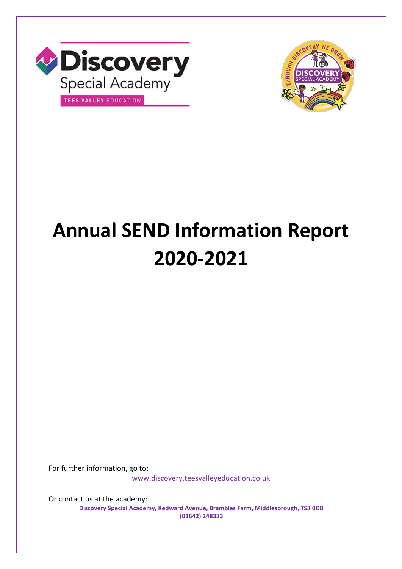



# **Annual SEND Information Report 2020-2021**

For further information, go to:

[www.discovery.teesvalleyeducation.co.uk](http://www.discovery.teesvalleyeducation.co.uk/)

Or contact us at the academy: **Discovery Special Academy, Kedward Avenue, Brambles Farm, Middlesbrough, TS3 0DB (01642) 248333**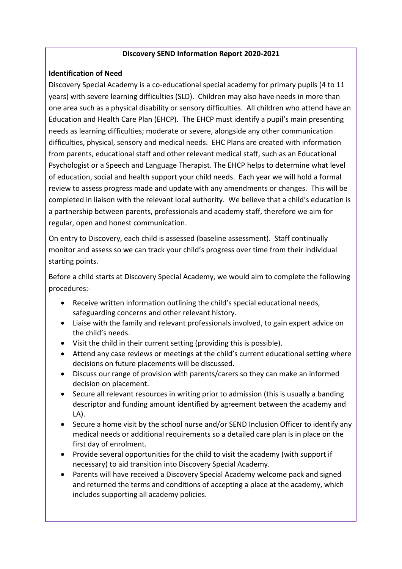#### **Discovery SEND Information Report 2020-2021**

#### **Identification of Need**

Discovery Special Academy is a co-educational special academy for primary pupils (4 to 11 years) with severe learning difficulties (SLD). Children may also have needs in more than one area such as a physical disability or sensory difficulties. All children who attend have an Education and Health Care Plan (EHCP). The EHCP must identify a pupil's main presenting needs as learning difficulties; moderate or severe, alongside any other communication difficulties, physical, sensory and medical needs. EHC Plans are created with information from parents, educational staff and other relevant medical staff, such as an Educational Psychologist or a Speech and Language Therapist. The EHCP helps to determine what level of education, social and health support your child needs. Each year we will hold a formal review to assess progress made and update with any amendments or changes. This will be completed in liaison with the relevant local authority. We believe that a child's education is a partnership between parents, professionals and academy staff, therefore we aim for regular, open and honest communication.

On entry to Discovery, each child is assessed (baseline assessment). Staff continually monitor and assess so we can track your child's progress over time from their individual starting points.

Before a child starts at Discovery Special Academy, we would aim to complete the following procedures:-

- Receive written information outlining the child's special educational needs, safeguarding concerns and other relevant history.
- Liaise with the family and relevant professionals involved, to gain expert advice on the child's needs.
- Visit the child in their current setting (providing this is possible).
- Attend any case reviews or meetings at the child's current educational setting where decisions on future placements will be discussed.
- Discuss our range of provision with parents/carers so they can make an informed decision on placement.
- Secure all relevant resources in writing prior to admission (this is usually a banding descriptor and funding amount identified by agreement between the academy and LA).
- Secure a home visit by the school nurse and/or SEND Inclusion Officer to identify any medical needs or additional requirements so a detailed care plan is in place on the first day of enrolment.
- Provide several opportunities for the child to visit the academy (with support if necessary) to aid transition into Discovery Special Academy.
- Parents will have received a Discovery Special Academy welcome pack and signed and returned the terms and conditions of accepting a place at the academy, which includes supporting all academy policies.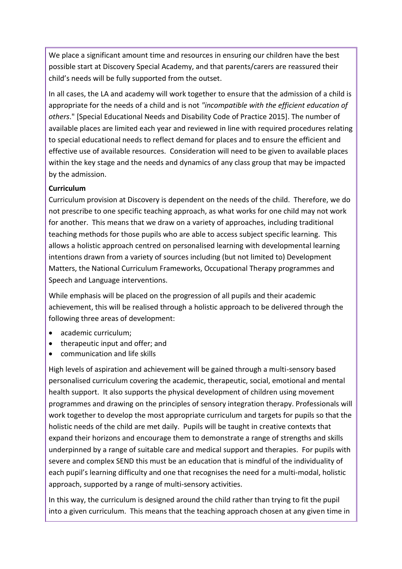We place a significant amount time and resources in ensuring our children have the best possible start at Discovery Special Academy, and that parents/carers are reassured their child's needs will be fully supported from the outset.

In all cases, the LA and academy will work together to ensure that the admission of a child is appropriate for the needs of a child and is not *"incompatible with the efficient education of others*." [Special Educational Needs and Disability Code of Practice 2015]. The number of available places are limited each year and reviewed in line with required procedures relating to special educational needs to reflect demand for places and to ensure the efficient and effective use of available resources. Consideration will need to be given to available places within the key stage and the needs and dynamics of any class group that may be impacted by the admission.

# **Curriculum**

Curriculum provision at Discovery is dependent on the needs of the child. Therefore, we do not prescribe to one specific teaching approach, as what works for one child may not work for another. This means that we draw on a variety of approaches, including traditional teaching methods for those pupils who are able to access subject specific learning. This allows a holistic approach centred on personalised learning with developmental learning intentions drawn from a variety of sources including (but not limited to) Development Matters, the National Curriculum Frameworks, Occupational Therapy programmes and Speech and Language interventions.

While emphasis will be placed on the progression of all pupils and their academic achievement, this will be realised through a holistic approach to be delivered through the following three areas of development:

- academic curriculum;
- therapeutic input and offer; and
- communication and life skills

High levels of aspiration and achievement will be gained through a multi-sensory based personalised curriculum covering the academic, therapeutic, social, emotional and mental health support. It also supports the physical development of children using movement programmes and drawing on the principles of sensory integration therapy. Professionals will work together to develop the most appropriate curriculum and targets for pupils so that the holistic needs of the child are met daily. Pupils will be taught in creative contexts that expand their horizons and encourage them to demonstrate a range of strengths and skills underpinned by a range of suitable care and medical support and therapies. For pupils with severe and complex SEND this must be an education that is mindful of the individuality of each pupil's learning difficulty and one that recognises the need for a multi-modal, holistic approach, supported by a range of multi-sensory activities.

In this way, the curriculum is designed around the child rather than trying to fit the pupil into a given curriculum. This means that the teaching approach chosen at any given time in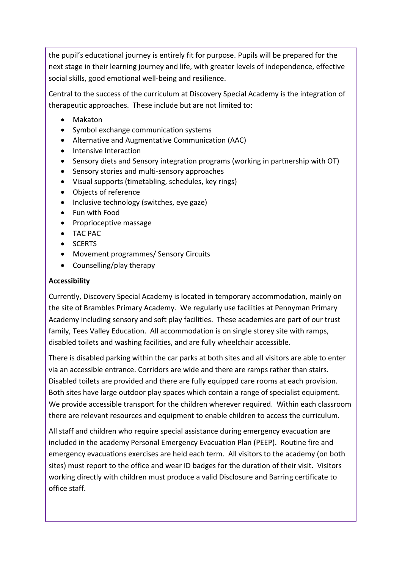the pupil's educational journey is entirely fit for purpose. Pupils will be prepared for the next stage in their learning journey and life, with greater levels of independence, effective social skills, good emotional well-being and resilience.

Central to the success of the curriculum at Discovery Special Academy is the integration of therapeutic approaches. These include but are not limited to:

- Makaton
- Symbol exchange communication systems
- Alternative and Augmentative Communication (AAC)
- Intensive Interaction
- Sensory diets and Sensory integration programs (working in partnership with OT)
- Sensory stories and multi-sensory approaches
- Visual supports (timetabling, schedules, key rings)
- Objects of reference
- Inclusive technology (switches, eye gaze)
- Fun with Food
- Proprioceptive massage
- TAC PAC
- SCERTS
- Movement programmes/ Sensory Circuits
- Counselling/play therapy

## **Accessibility**

Currently, Discovery Special Academy is located in temporary accommodation, mainly on the site of Brambles Primary Academy. We regularly use facilities at Pennyman Primary Academy including sensory and soft play facilities. These academies are part of our trust family, Tees Valley Education. All accommodation is on single storey site with ramps, disabled toilets and washing facilities, and are fully wheelchair accessible.

There is disabled parking within the car parks at both sites and all visitors are able to enter via an accessible entrance. Corridors are wide and there are ramps rather than stairs. Disabled toilets are provided and there are fully equipped care rooms at each provision. Both sites have large outdoor play spaces which contain a range of specialist equipment. We provide accessible transport for the children wherever required. Within each classroom there are relevant resources and equipment to enable children to access the curriculum.

All staff and children who require special assistance during emergency evacuation are included in the academy Personal Emergency Evacuation Plan (PEEP). Routine fire and emergency evacuations exercises are held each term. All visitors to the academy (on both sites) must report to the office and wear ID badges for the duration of their visit. Visitors working directly with children must produce a valid Disclosure and Barring certificate to office staff.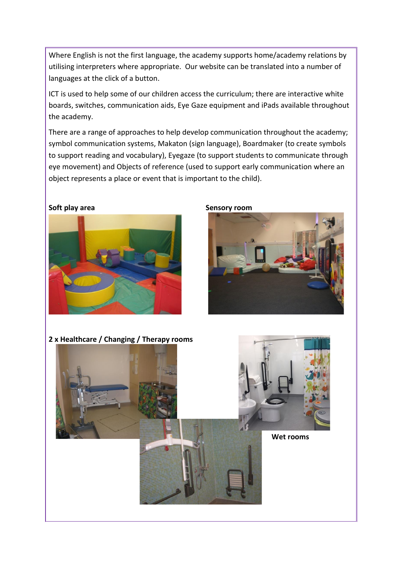Where English is not the first language, the academy supports home/academy relations by utilising interpreters where appropriate. Our website can be translated into a number of languages at the click of a button.

ICT is used to help some of our children access the curriculum; there are interactive white boards, switches, communication aids, Eye Gaze equipment and iPads available throughout the academy.

There are a range of approaches to help develop communication throughout the academy; symbol communication systems, Makaton (sign language), Boardmaker (to create symbols to support reading and vocabulary), Eyegaze (to support students to communicate through eye movement) and Objects of reference (used to support early communication where an object represents a place or event that is important to the child).

**Soft play area Sensory room** 





**2 x Healthcare / Changing / Therapy rooms**

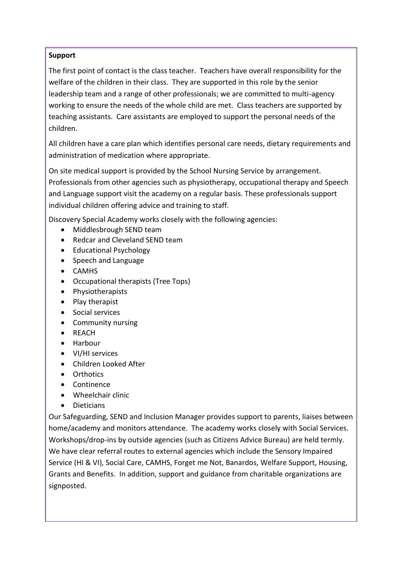## **Support**

The first point of contact is the class teacher. Teachers have overall responsibility for the welfare of the children in their class. They are supported in this role by the senior leadership team and a range of other professionals; we are committed to multi-agency working to ensure the needs of the whole child are met. Class teachers are supported by teaching assistants. Care assistants are employed to support the personal needs of the children.

All children have a care plan which identifies personal care needs, dietary requirements and administration of medication where appropriate.

On site medical support is provided by the School Nursing Service by arrangement. Professionals from other agencies such as physiotherapy, occupational therapy and Speech and Language support visit the academy on a regular basis. These professionals support individual children offering advice and training to staff.

Discovery Special Academy works closely with the following agencies:

- Middlesbrough SEND team
- Redcar and Cleveland SEND team
- Educational Psychology
- Speech and Language
- CAMHS
- Occupational therapists (Tree Tops)
- Physiotherapists
- Play therapist
- Social services
- Community nursing
- REACH
- Harbour
- VI/HI services
- Children Looked After
- Orthotics
- Continence
- Wheelchair clinic
- Dieticians

Our Safeguarding, SEND and Inclusion Manager provides support to parents, liaises between home/academy and monitors attendance. The academy works closely with Social Services. Workshops/drop-ins by outside agencies (such as Citizens Advice Bureau) are held termly. We have clear referral routes to external agencies which include the Sensory Impaired Service (HI & VI), Social Care, CAMHS, Forget me Not, Banardos, Welfare Support, Housing, Grants and Benefits. In addition, support and guidance from charitable organizations are signposted.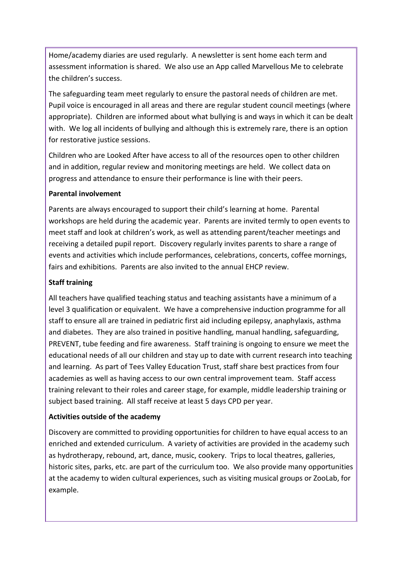Home/academy diaries are used regularly. A newsletter is sent home each term and assessment information is shared. We also use an App called Marvellous Me to celebrate the children's success.

The safeguarding team meet regularly to ensure the pastoral needs of children are met. Pupil voice is encouraged in all areas and there are regular student council meetings (where appropriate). Children are informed about what bullying is and ways in which it can be dealt with. We log all incidents of bullying and although this is extremely rare, there is an option for restorative justice sessions.

Children who are Looked After have access to all of the resources open to other children and in addition, regular review and monitoring meetings are held. We collect data on progress and attendance to ensure their performance is line with their peers.

## **Parental involvement**

Parents are always encouraged to support their child's learning at home. Parental workshops are held during the academic year. Parents are invited termly to open events to meet staff and look at children's work, as well as attending parent/teacher meetings and receiving a detailed pupil report. Discovery regularly invites parents to share a range of events and activities which include performances, celebrations, concerts, coffee mornings, fairs and exhibitions. Parents are also invited to the annual EHCP review.

# **Staff training**

All teachers have qualified teaching status and teaching assistants have a minimum of a level 3 qualification or equivalent. We have a comprehensive induction programme for all staff to ensure all are trained in pediatric first aid including epilepsy, anaphylaxis, asthma and diabetes. They are also trained in positive handling, manual handling, safeguarding, PREVENT, tube feeding and fire awareness. Staff training is ongoing to ensure we meet the educational needs of all our children and stay up to date with current research into teaching and learning. As part of Tees Valley Education Trust, staff share best practices from four academies as well as having access to our own central improvement team. Staff access training relevant to their roles and career stage, for example, middle leadership training or subject based training. All staff receive at least 5 days CPD per year.

## **Activities outside of the academy**

Discovery are committed to providing opportunities for children to have equal access to an enriched and extended curriculum. A variety of activities are provided in the academy such as hydrotherapy, rebound, art, dance, music, cookery. Trips to local theatres, galleries, historic sites, parks, etc. are part of the curriculum too. We also provide many opportunities at the academy to widen cultural experiences, such as visiting musical groups or ZooLab, for example.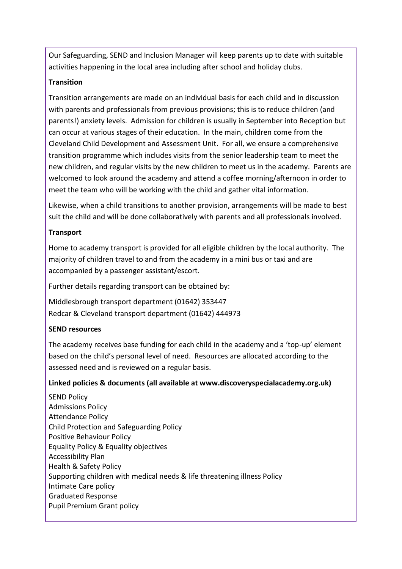Our Safeguarding, SEND and Inclusion Manager will keep parents up to date with suitable activities happening in the local area including after school and holiday clubs.

# **Transition**

Transition arrangements are made on an individual basis for each child and in discussion with parents and professionals from previous provisions; this is to reduce children (and parents!) anxiety levels. Admission for children is usually in September into Reception but can occur at various stages of their education. In the main, children come from the Cleveland Child Development and Assessment Unit. For all, we ensure a comprehensive transition programme which includes visits from the senior leadership team to meet the new children, and regular visits by the new children to meet us in the academy. Parents are welcomed to look around the academy and attend a coffee morning/afternoon in order to meet the team who will be working with the child and gather vital information.

Likewise, when a child transitions to another provision, arrangements will be made to best suit the child and will be done collaboratively with parents and all professionals involved.

# **Transport**

Home to academy transport is provided for all eligible children by the local authority. The majority of children travel to and from the academy in a mini bus or taxi and are accompanied by a passenger assistant/escort.

Further details regarding transport can be obtained by:

Middlesbrough transport department (01642) 353447 Redcar & Cleveland transport department (01642) 444973

## **SEND resources**

The academy receives base funding for each child in the academy and a 'top-up' element based on the child's personal level of need. Resources are allocated according to the assessed need and is reviewed on a regular basis.

## **Linked policies & documents (all available at www.discoveryspecialacademy.org.uk)**

SEND Policy Admissions Policy Attendance Policy Child Protection and Safeguarding Policy Positive Behaviour Policy Equality Policy & Equality objectives Accessibility Plan Health & Safety Policy Supporting children with medical needs & life threatening illness Policy Intimate Care policy Graduated Response Pupil Premium Grant policy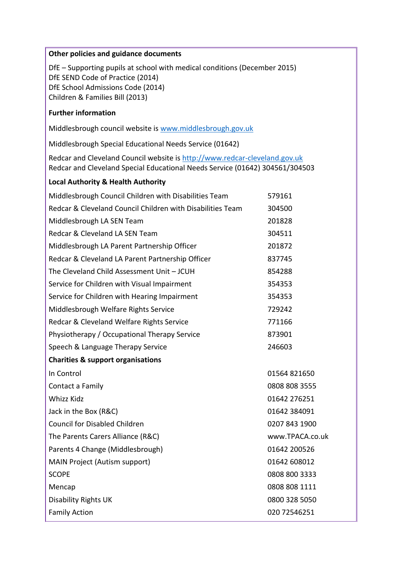#### **Other policies and guidance documents**

DfE – Supporting pupils at school with medical conditions (December 2015) DfE SEND Code of Practice (2014) DfE School Admissions Code (2014) Children & Families Bill (2013)

#### **Further information**

Middlesbrough council website is [www.middlesbrough.gov.uk](http://www.middlesbrough.gov.uk/)

Middlesbrough Special Educational Needs Service (01642)

Redcar and Cleveland Council website i[s http://www.redcar-cleveland.gov.uk](http://www.redcar-cleveland.gov.uk/) Redcar and Cleveland Special Educational Needs Service (01642) 304561/304503

#### **Local Authority & Health Authority**

| Middlesbrough Council Children with Disabilities Team      | 579161          |
|------------------------------------------------------------|-----------------|
| Redcar & Cleveland Council Children with Disabilities Team | 304500          |
| Middlesbrough LA SEN Team                                  | 201828          |
| Redcar & Cleveland LA SEN Team                             | 304511          |
| Middlesbrough LA Parent Partnership Officer                | 201872          |
| Redcar & Cleveland LA Parent Partnership Officer           | 837745          |
| The Cleveland Child Assessment Unit - JCUH                 | 854288          |
| Service for Children with Visual Impairment                | 354353          |
| Service for Children with Hearing Impairment               | 354353          |
| Middlesbrough Welfare Rights Service                       | 729242          |
| Redcar & Cleveland Welfare Rights Service                  | 771166          |
| Physiotherapy / Occupational Therapy Service               | 873901          |
| Speech & Language Therapy Service                          | 246603          |
| <b>Charities &amp; support organisations</b>               |                 |
| In Control                                                 | 01564 821650    |
| Contact a Family                                           | 0808 808 3555   |
| <b>Whizz Kidz</b>                                          | 01642 276251    |
| Jack in the Box (R&C)                                      | 01642 384091    |
|                                                            |                 |
| <b>Council for Disabled Children</b>                       | 0207 843 1900   |
| The Parents Carers Alliance (R&C)                          | www.TPACA.co.uk |
| Parents 4 Change (Middlesbrough)                           | 01642 200526    |
| MAIN Project (Autism support)                              | 01642 608012    |
| <b>SCOPE</b>                                               | 0808 800 3333   |
| Mencap                                                     | 0808 808 1111   |
| <b>Disability Rights UK</b>                                | 0800 328 5050   |